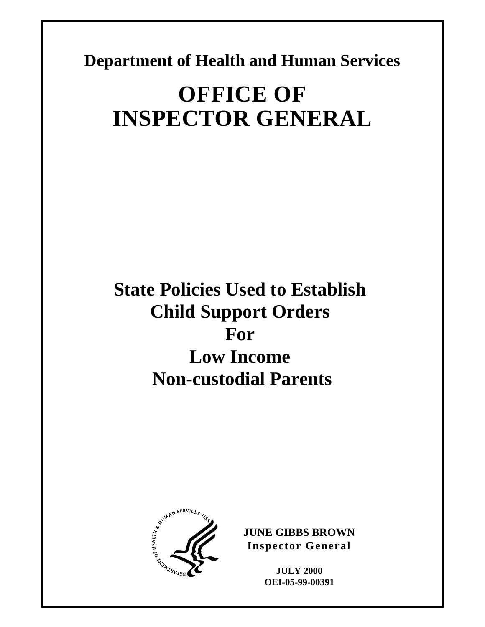**Department of Health and Human Services** 

# **OFFICE OF INSPECTOR GENERAL**

**State Policies Used to Establish Child Support Orders For Low Income Non-custodial Parents** 



**JUNE GIBBS BROWN Inspector General** 

> **JULY 2000 OEI-05-99-00391**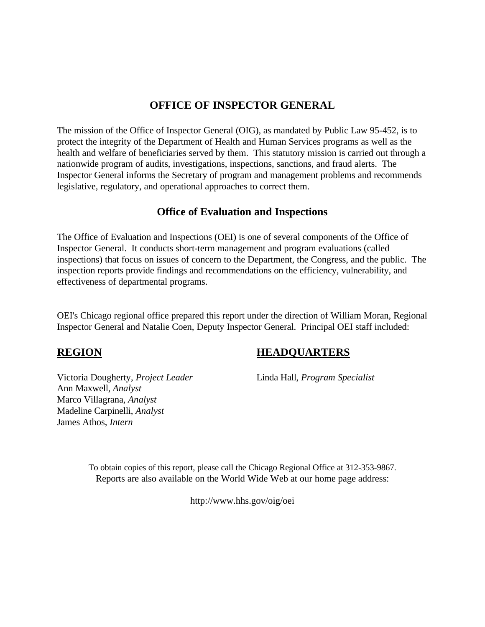# **OFFICE OF INSPECTOR GENERAL**

The mission of the Office of Inspector General (OIG), as mandated by Public Law 95-452, is to protect the integrity of the Department of Health and Human Services programs as well as the health and welfare of beneficiaries served by them. This statutory mission is carried out through a nationwide program of audits, investigations, inspections, sanctions, and fraud alerts. The Inspector General informs the Secretary of program and management problems and recommends legislative, regulatory, and operational approaches to correct them.

# **Office of Evaluation and Inspections**

The Office of Evaluation and Inspections (OEI) is one of several components of the Office of Inspector General. It conducts short-term management and program evaluations (called inspections) that focus on issues of concern to the Department, the Congress, and the public. The inspection reports provide findings and recommendations on the efficiency, vulnerability, and effectiveness of departmental programs.

OEI's Chicago regional office prepared this report under the direction of William Moran, Regional Inspector General and Natalie Coen, Deputy Inspector General. Principal OEI staff included:

Victoria Dougherty, *Project Leader* Linda Hall, *Program Specialist* Ann Maxwell, *Analyst* Marco Villagrana, *Analyst* Madeline Carpinelli, *Analyst* James Athos, *Intern*

# **REGION HEADQUARTERS**

To obtain copies of this report, please call the Chicago Regional Office at 312-353-9867. Reports are also available on the World Wide Web at our home page address:

http://www.hhs.gov/oig/oei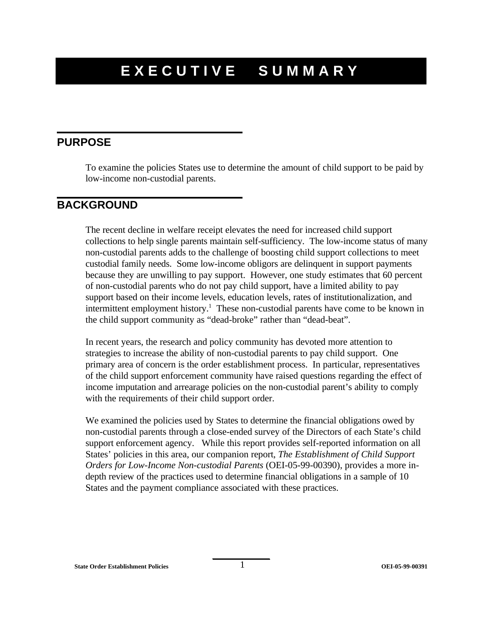# **EXECUTIVE SUMMARY**

# **PURPOSE**

To examine the policies States use to determine the amount of child support to be paid by low-income non-custodial parents.

# **BACKGROUND**

The recent decline in welfare receipt elevates the need for increased child support collections to help single parents maintain self-sufficiency. The low-income status of many non-custodial parents adds to the challenge of boosting child support collections to meet custodial family needs. Some low-income obligors are delinquent in support payments because they are unwilling to pay support. However, one study estimates that 60 percent of non-custodial parents who do not pay child support, have a limited ability to pay support based on their income levels, education levels, rates of institutionalization, and intermittent employment history.<sup>1</sup> These non-custodial parents have come to be known in the child support community as "dead-broke" rather than "dead-beat".

In recent years, the research and policy community has devoted more attention to strategies to increase the ability of non-custodial parents to pay child support. One primary area of concern is the order establishment process. In particular, representatives of the child support enforcement community have raised questions regarding the effect of income imputation and arrearage policies on the non-custodial parent's ability to comply with the requirements of their child support order.

We examined the policies used by States to determine the financial obligations owed by non-custodial parents through a close-ended survey of the Directors of each State's child support enforcement agency. While this report provides self-reported information on all States' policies in this area, our companion report, *The Establishment of Child Support Orders for Low-Income Non-custodial Parents* (OEI-05-99-00390), provides a more indepth review of the practices used to determine financial obligations in a sample of 10 States and the payment compliance associated with these practices.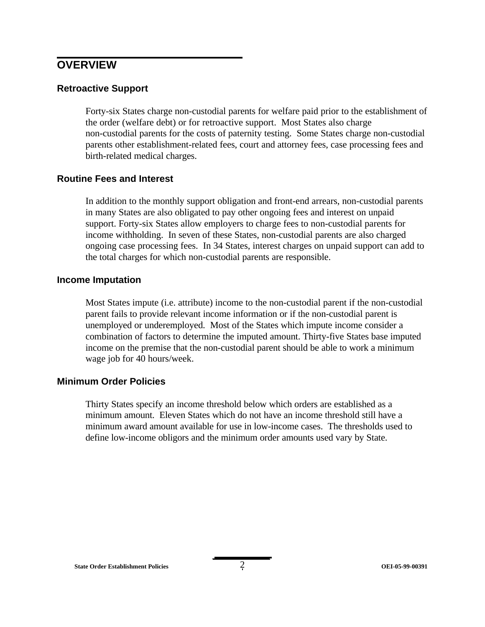# **OVERVIEW**

### **Retroactive Support**

Forty-six States charge non-custodial parents for welfare paid prior to the establishment of the order (welfare debt) or for retroactive support. Most States also charge non-custodial parents for the costs of paternity testing. Some States charge non-custodial parents other establishment-related fees, court and attorney fees, case processing fees and birth-related medical charges.

### **Routine Fees and Interest**

In addition to the monthly support obligation and front-end arrears, non-custodial parents in many States are also obligated to pay other ongoing fees and interest on unpaid support. Forty-six States allow employers to charge fees to non-custodial parents for income withholding. In seven of these States, non-custodial parents are also charged ongoing case processing fees. In 34 States, interest charges on unpaid support can add to the total charges for which non-custodial parents are responsible.

### **Income Imputation**

Most States impute (i.e. attribute) income to the non-custodial parent if the non-custodial parent fails to provide relevant income information or if the non-custodial parent is unemployed or underemployed. Most of the States which impute income consider a combination of factors to determine the imputed amount. Thirty-five States base imputed income on the premise that the non-custodial parent should be able to work a minimum wage job for 40 hours/week.

### **Minimum Order Policies**

Thirty States specify an income threshold below which orders are established as a minimum amount. Eleven States which do not have an income threshold still have a minimum award amount available for use in low-income cases. The thresholds used to define low-income obligors and the minimum order amounts used vary by State.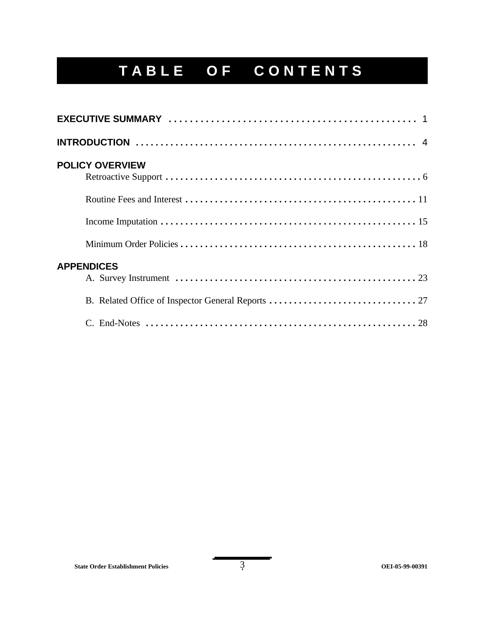# **TABLE OF CONTENTS**

| <b>POLICY OVERVIEW</b> |
|------------------------|
|                        |
|                        |
|                        |
| <b>APPENDICES</b>      |
|                        |
|                        |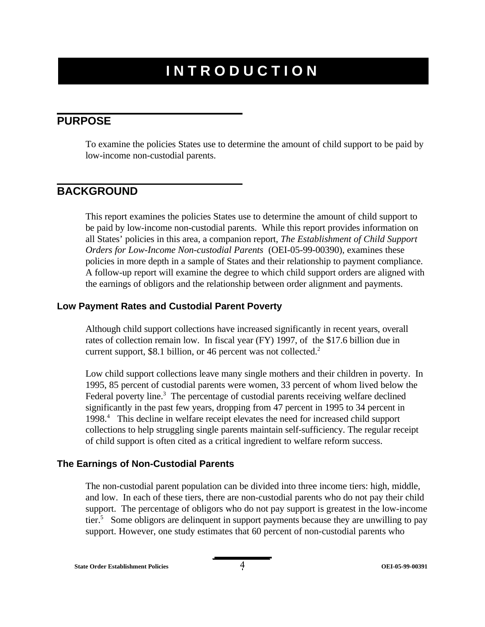# **INTRODUCTION**

# **PURPOSE**

To examine the policies States use to determine the amount of child support to be paid by low-income non-custodial parents.

# **BACKGROUND**

This report examines the policies States use to determine the amount of child support to be paid by low-income non-custodial parents. While this report provides information on all States' policies in this area, a companion report, *The Establishment of Child Support Orders for Low-Income Non-custodial Parents* (OEI-05-99-00390), examines these policies in more depth in a sample of States and their relationship to payment compliance. A follow-up report will examine the degree to which child support orders are aligned with the earnings of obligors and the relationship between order alignment and payments.

### **Low Payment Rates and Custodial Parent Poverty**

Although child support collections have increased significantly in recent years, overall rates of collection remain low. In fiscal year (FY) 1997, of the \$17.6 billion due in current support, \$8.1 billion, or 46 percent was not collected. $2$ 

Low child support collections leave many single mothers and their children in poverty. In 1995, 85 percent of custodial parents were women, 33 percent of whom lived below the Federal poverty line.<sup>3</sup> The percentage of custodial parents receiving welfare declined significantly in the past few years, dropping from 47 percent in 1995 to 34 percent in 1998.4 This decline in welfare receipt elevates the need for increased child support collections to help struggling single parents maintain self-sufficiency. The regular receipt of child support is often cited as a critical ingredient to welfare reform success.

### **The Earnings of Non-Custodial Parents**

The non-custodial parent population can be divided into three income tiers: high, middle, and low. In each of these tiers, there are non-custodial parents who do not pay their child support. The percentage of obligors who do not pay support is greatest in the low-income tier.<sup>5</sup> Some obligors are delinquent in support payments because they are unwilling to pay support. However, one study estimates that 60 percent of non-custodial parents who

**State Order Establishment Policies** 4 **OEI-05-99-00391**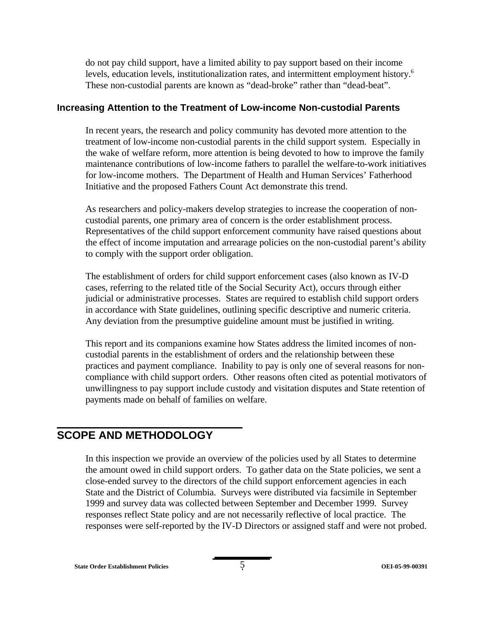do not pay child support, have a limited ability to pay support based on their income levels, education levels, institutionalization rates, and intermittent employment history.<sup>6</sup> These non-custodial parents are known as "dead-broke" rather than "dead-beat".

### **Increasing Attention to the Treatment of Low-income Non-custodial Parents**

In recent years, the research and policy community has devoted more attention to the treatment of low-income non-custodial parents in the child support system. Especially in the wake of welfare reform, more attention is being devoted to how to improve the family maintenance contributions of low-income fathers to parallel the welfare-to-work initiatives for low-income mothers. The Department of Health and Human Services' Fatherhood Initiative and the proposed Fathers Count Act demonstrate this trend.

As researchers and policy-makers develop strategies to increase the cooperation of noncustodial parents, one primary area of concern is the order establishment process. Representatives of the child support enforcement community have raised questions about the effect of income imputation and arrearage policies on the non-custodial parent's ability to comply with the support order obligation.

The establishment of orders for child support enforcement cases (also known as IV-D cases, referring to the related title of the Social Security Act), occurs through either judicial or administrative processes. States are required to establish child support orders in accordance with State guidelines, outlining specific descriptive and numeric criteria. Any deviation from the presumptive guideline amount must be justified in writing.

This report and its companions examine how States address the limited incomes of noncustodial parents in the establishment of orders and the relationship between these practices and payment compliance. Inability to pay is only one of several reasons for noncompliance with child support orders. Other reasons often cited as potential motivators of unwillingness to pay support include custody and visitation disputes and State retention of payments made on behalf of families on welfare.

# **SCOPE AND METHODOLOGY**

In this inspection we provide an overview of the policies used by all States to determine the amount owed in child support orders. To gather data on the State policies, we sent a close-ended survey to the directors of the child support enforcement agencies in each State and the District of Columbia. Surveys were distributed via facsimile in September 1999 and survey data was collected between September and December 1999. Survey responses reflect State policy and are not necessarily reflective of local practice. The responses were self-reported by the IV-D Directors or assigned staff and were not probed.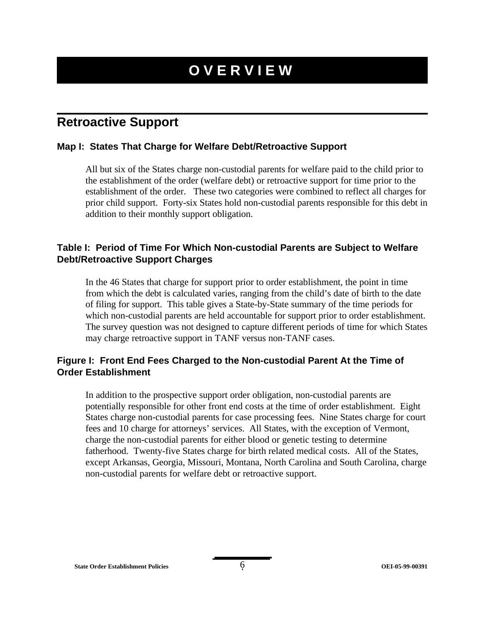# **OVERVIEW**

# **Retroactive Support**

### **Map I: States That Charge for Welfare Debt/Retroactive Support**

All but six of the States charge non-custodial parents for welfare paid to the child prior to the establishment of the order (welfare debt) or retroactive support for time prior to the establishment of the order. These two categories were combined to reflect all charges for prior child support. Forty-six States hold non-custodial parents responsible for this debt in addition to their monthly support obligation.

## **Table I: Period of Time For Which Non-custodial Parents are Subject to Welfare Debt/Retroactive Support Charges**

In the 46 States that charge for support prior to order establishment, the point in time from which the debt is calculated varies, ranging from the child's date of birth to the date of filing for support. This table gives a State-by-State summary of the time periods for which non-custodial parents are held accountable for support prior to order establishment. The survey question was not designed to capture different periods of time for which States may charge retroactive support in TANF versus non-TANF cases.

# **Figure I: Front End Fees Charged to the Non-custodial Parent At the Time of Order Establishment**

In addition to the prospective support order obligation, non-custodial parents are potentially responsible for other front end costs at the time of order establishment. Eight States charge non-custodial parents for case processing fees. Nine States charge for court fees and 10 charge for attorneys' services. All States, with the exception of Vermont, charge the non-custodial parents for either blood or genetic testing to determine fatherhood. Twenty-five States charge for birth related medical costs. All of the States, except Arkansas, Georgia, Missouri, Montana, North Carolina and South Carolina, charge non-custodial parents for welfare debt or retroactive support.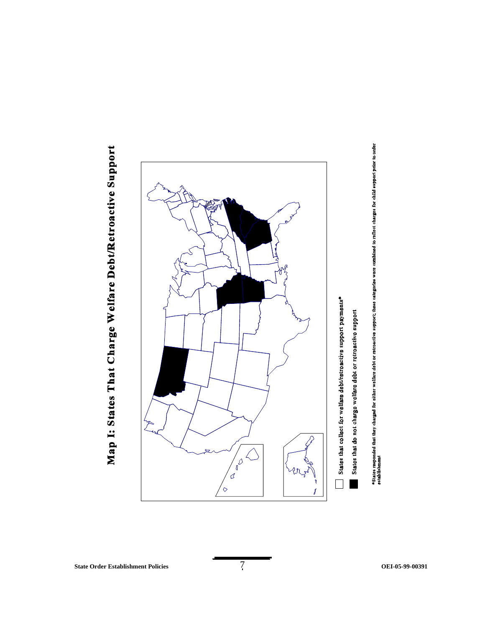



combined to reflect charges for child support prior to order

categories were

\*States responded that they charged for either welfare debt or retroactive support; these<br>establishment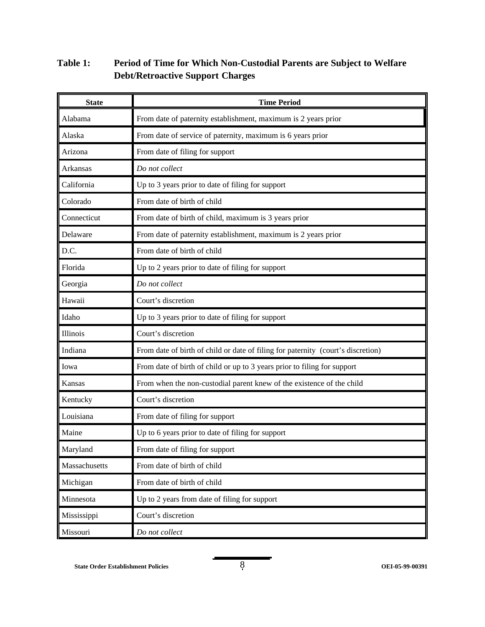# **Table 1: Period of Time for Which Non-Custodial Parents are Subject to Welfare Debt/Retroactive Support Charges**

| <b>State</b>  | <b>Time Period</b>                                                               |
|---------------|----------------------------------------------------------------------------------|
| Alabama       | From date of paternity establishment, maximum is 2 years prior                   |
| Alaska        | From date of service of paternity, maximum is 6 years prior                      |
| Arizona       | From date of filing for support                                                  |
| Arkansas      | Do not collect                                                                   |
| California    | Up to 3 years prior to date of filing for support                                |
| Colorado      | From date of birth of child                                                      |
| Connecticut   | From date of birth of child, maximum is 3 years prior                            |
| Delaware      | From date of paternity establishment, maximum is 2 years prior                   |
| D.C.          | From date of birth of child                                                      |
| Florida       | Up to 2 years prior to date of filing for support                                |
| Georgia       | Do not collect                                                                   |
| Hawaii        | Court's discretion                                                               |
| Idaho         | Up to 3 years prior to date of filing for support                                |
| Illinois      | Court's discretion                                                               |
| Indiana       | From date of birth of child or date of filing for paternity (court's discretion) |
| Iowa          | From date of birth of child or up to 3 years prior to filing for support         |
| Kansas        | From when the non-custodial parent knew of the existence of the child            |
| Kentucky      | Court's discretion                                                               |
| Louisiana     | From date of filing for support                                                  |
| Maine         | Up to 6 years prior to date of filing for support                                |
| Maryland      | From date of filing for support                                                  |
| Massachusetts | From date of birth of child                                                      |
| Michigan      | From date of birth of child                                                      |
| Minnesota     | Up to 2 years from date of filing for support                                    |
| Mississippi   | Court's discretion                                                               |
| Missouri      | Do not collect                                                                   |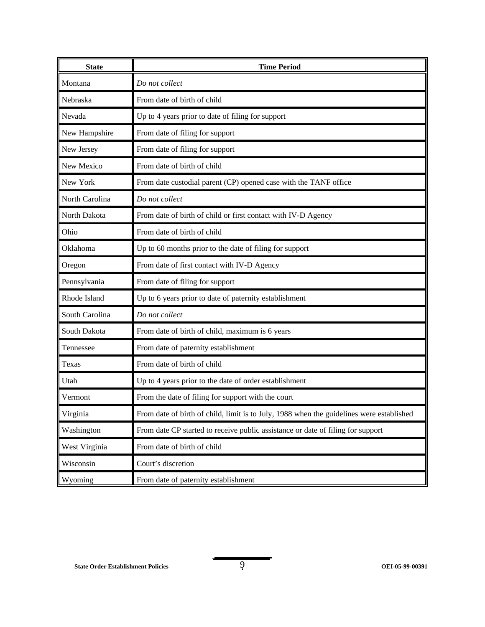| <b>State</b>   | <b>Time Period</b>                                                                       |
|----------------|------------------------------------------------------------------------------------------|
| Montana        | Do not collect                                                                           |
| Nebraska       | From date of birth of child                                                              |
| Nevada         | Up to 4 years prior to date of filing for support                                        |
| New Hampshire  | From date of filing for support                                                          |
| New Jersey     | From date of filing for support                                                          |
| New Mexico     | From date of birth of child                                                              |
| New York       | From date custodial parent (CP) opened case with the TANF office                         |
| North Carolina | Do not collect                                                                           |
| North Dakota   | From date of birth of child or first contact with IV-D Agency                            |
| Ohio           | From date of birth of child                                                              |
| Oklahoma       | Up to 60 months prior to the date of filing for support                                  |
| Oregon         | From date of first contact with IV-D Agency                                              |
| Pennsylvania   | From date of filing for support                                                          |
| Rhode Island   | Up to 6 years prior to date of paternity establishment                                   |
| South Carolina | Do not collect                                                                           |
| South Dakota   | From date of birth of child, maximum is 6 years                                          |
| Tennessee      | From date of paternity establishment                                                     |
| Texas          | From date of birth of child                                                              |
| Utah           | Up to 4 years prior to the date of order establishment                                   |
| Vermont        | From the date of filing for support with the court                                       |
| Virginia       | From date of birth of child, limit is to July, 1988 when the guidelines were established |
| Washington     | From date CP started to receive public assistance or date of filing for support          |
| West Virginia  | From date of birth of child                                                              |
| Wisconsin      | Court's discretion                                                                       |
| Wyoming        | From date of paternity establishment                                                     |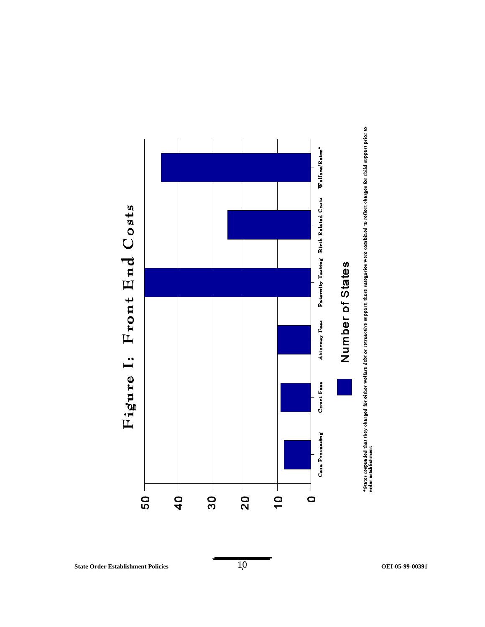

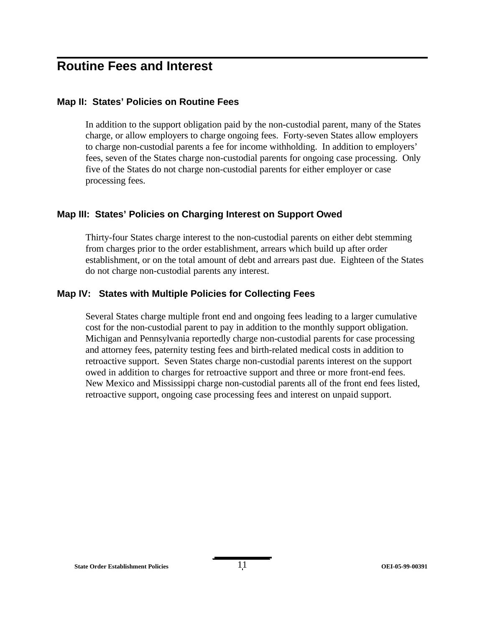# **Routine Fees and Interest**

### **Map II: States' Policies on Routine Fees**

In addition to the support obligation paid by the non-custodial parent, many of the States charge, or allow employers to charge ongoing fees. Forty-seven States allow employers to charge non-custodial parents a fee for income withholding. In addition to employers' fees, seven of the States charge non-custodial parents for ongoing case processing. Only five of the States do not charge non-custodial parents for either employer or case processing fees.

### **Map III: States' Policies on Charging Interest on Support Owed**

Thirty-four States charge interest to the non-custodial parents on either debt stemming from charges prior to the order establishment, arrears which build up after order establishment, or on the total amount of debt and arrears past due. Eighteen of the States do not charge non-custodial parents any interest.

### **Map IV: States with Multiple Policies for Collecting Fees**

Several States charge multiple front end and ongoing fees leading to a larger cumulative cost for the non-custodial parent to pay in addition to the monthly support obligation. Michigan and Pennsylvania reportedly charge non-custodial parents for case processing and attorney fees, paternity testing fees and birth-related medical costs in addition to retroactive support. Seven States charge non-custodial parents interest on the support owed in addition to charges for retroactive support and three or more front-end fees. New Mexico and Mississippi charge non-custodial parents all of the front end fees listed, retroactive support, ongoing case processing fees and interest on unpaid support.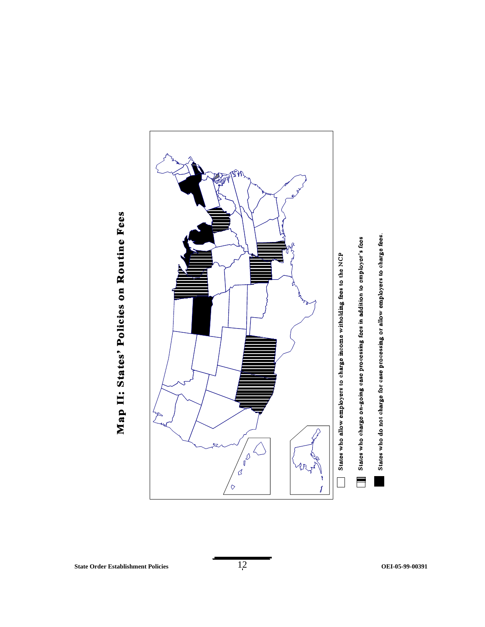# Map II: States' Policies on Routine Fees

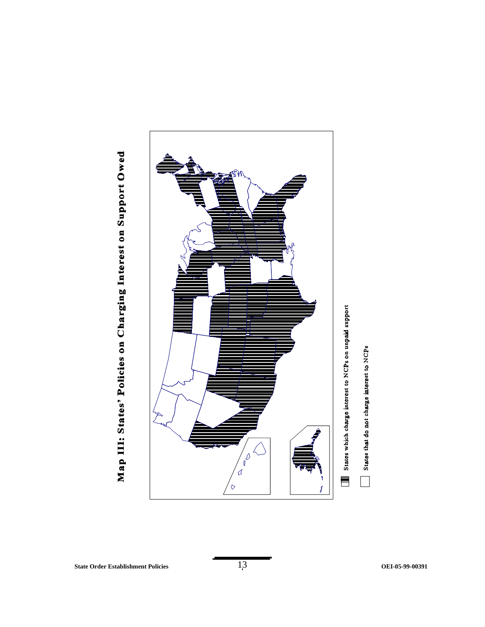

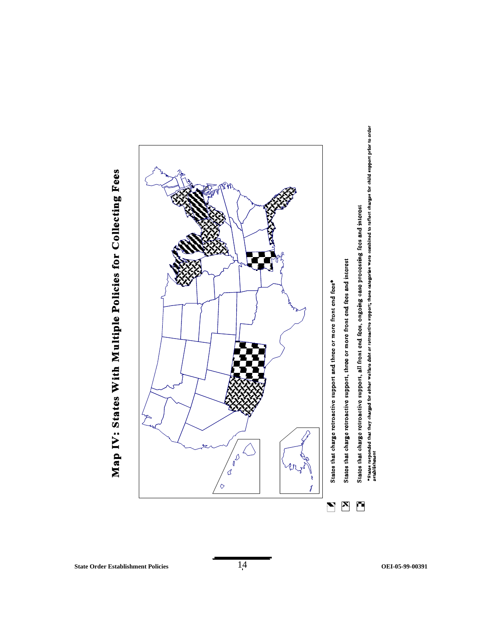

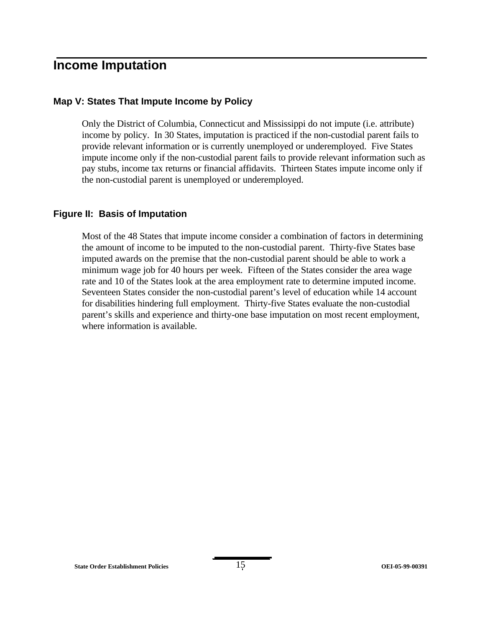# **Income Imputation**

### **Map V: States That Impute Income by Policy**

Only the District of Columbia, Connecticut and Mississippi do not impute (i.e. attribute) income by policy. In 30 States, imputation is practiced if the non-custodial parent fails to provide relevant information or is currently unemployed or underemployed. Five States impute income only if the non-custodial parent fails to provide relevant information such as pay stubs, income tax returns or financial affidavits. Thirteen States impute income only if the non-custodial parent is unemployed or underemployed.

### **Figure II: Basis of Imputation**

Most of the 48 States that impute income consider a combination of factors in determining the amount of income to be imputed to the non-custodial parent. Thirty-five States base imputed awards on the premise that the non-custodial parent should be able to work a minimum wage job for 40 hours per week. Fifteen of the States consider the area wage rate and 10 of the States look at the area employment rate to determine imputed income. Seventeen States consider the non-custodial parent's level of education while 14 account for disabilities hindering full employment. Thirty-five States evaluate the non-custodial parent's skills and experience and thirty-one base imputation on most recent employment, where information is available.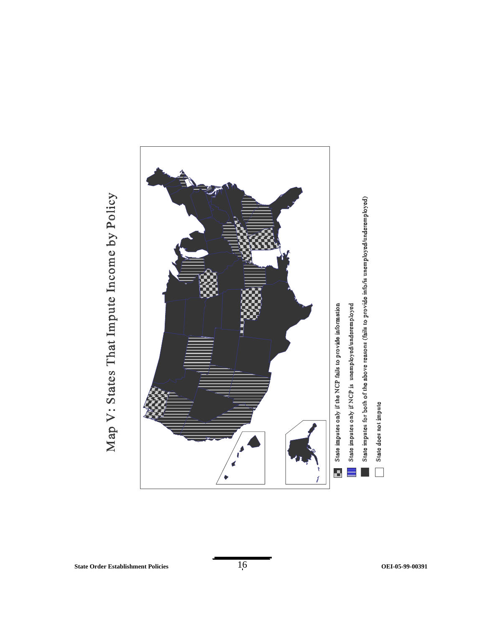

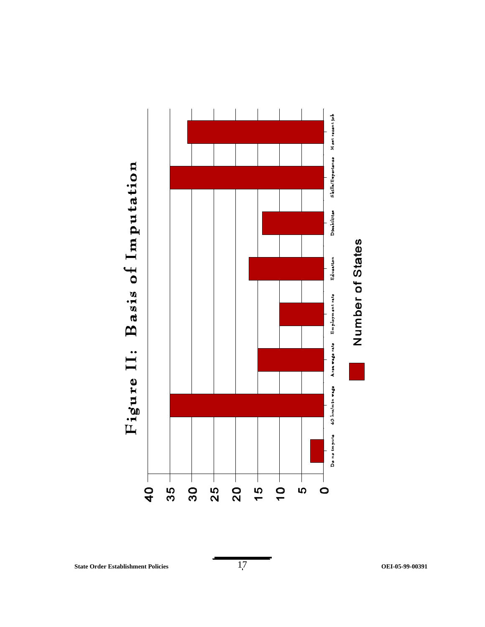

**State Order Establishment Policies 17 OEI-05-99-00391**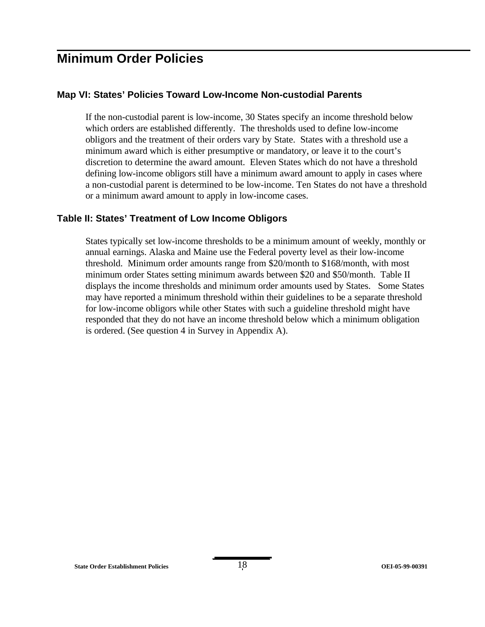# **Minimum Order Policies**

### **Map VI: States' Policies Toward Low-Income Non-custodial Parents**

If the non-custodial parent is low-income, 30 States specify an income threshold below which orders are established differently. The thresholds used to define low-income obligors and the treatment of their orders vary by State. States with a threshold use a minimum award which is either presumptive or mandatory, or leave it to the court's discretion to determine the award amount. Eleven States which do not have a threshold defining low-income obligors still have a minimum award amount to apply in cases where a non-custodial parent is determined to be low-income. Ten States do not have a threshold or a minimum award amount to apply in low-income cases.

### **Table II: States' Treatment of Low Income Obligors**

States typically set low-income thresholds to be a minimum amount of weekly, monthly or annual earnings. Alaska and Maine use the Federal poverty level as their low-income threshold. Minimum order amounts range from \$20/month to \$168/month, with most minimum order States setting minimum awards between \$20 and \$50/month. Table II displays the income thresholds and minimum order amounts used by States. Some States may have reported a minimum threshold within their guidelines to be a separate threshold for low-income obligors while other States with such a guideline threshold might have responded that they do not have an income threshold below which a minimum obligation is ordered. (See question 4 in Survey in Appendix A).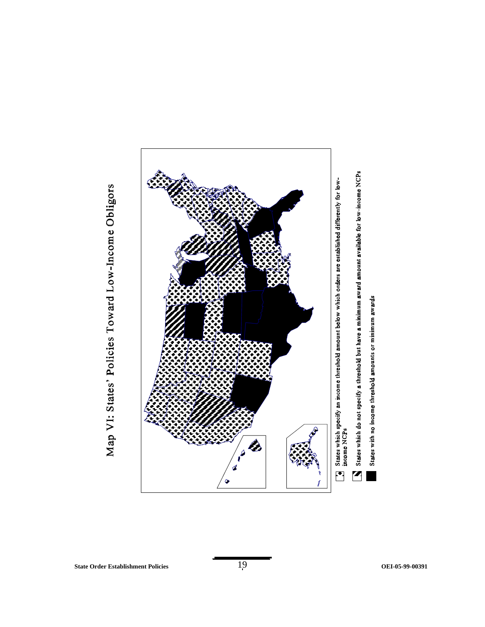

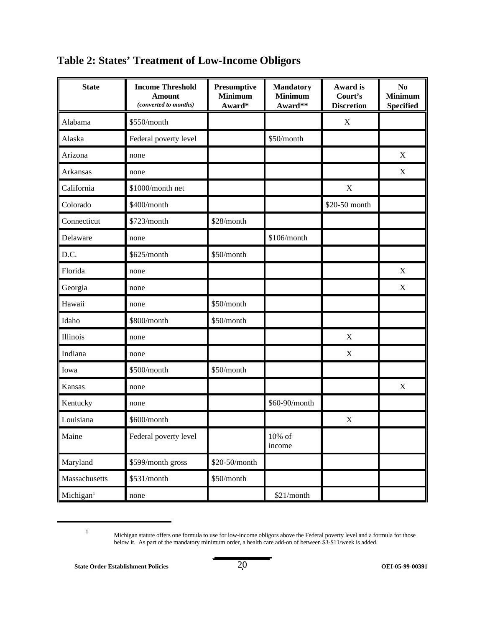| <b>State</b>          | <b>Income Threshold</b><br><b>Amount</b><br>(converted to months) | Presumptive<br><b>Minimum</b><br>Award* | <b>Mandatory</b><br><b>Minimum</b><br>Award** | Award is<br>Court's<br><b>Discretion</b> | N <sub>0</sub><br><b>Minimum</b><br><b>Specified</b> |
|-----------------------|-------------------------------------------------------------------|-----------------------------------------|-----------------------------------------------|------------------------------------------|------------------------------------------------------|
| Alabama               | \$550/month                                                       |                                         |                                               | $\mathbf X$                              |                                                      |
| Alaska                | Federal poverty level                                             |                                         | \$50/month                                    |                                          |                                                      |
| Arizona               | none                                                              |                                         |                                               |                                          | X                                                    |
| Arkansas              | none                                                              |                                         |                                               |                                          | X                                                    |
| California            | \$1000/month net                                                  |                                         |                                               | X                                        |                                                      |
| Colorado              | \$400/month                                                       |                                         |                                               | \$20-50 month                            |                                                      |
| Connecticut           | \$723/month                                                       | \$28/month                              |                                               |                                          |                                                      |
| Delaware              | none                                                              |                                         | \$106/month                                   |                                          |                                                      |
| D.C.                  | \$625/month                                                       | \$50/month                              |                                               |                                          |                                                      |
| Florida               | none                                                              |                                         |                                               |                                          | X                                                    |
| Georgia               | none                                                              |                                         |                                               |                                          | X                                                    |
| Hawaii                | none                                                              | \$50/month                              |                                               |                                          |                                                      |
| Idaho                 | \$800/month                                                       | \$50/month                              |                                               |                                          |                                                      |
| Illinois              | none                                                              |                                         |                                               | X                                        |                                                      |
| Indiana               | none                                                              |                                         |                                               | $\mathbf X$                              |                                                      |
| Iowa                  | \$500/month                                                       | \$50/month                              |                                               |                                          |                                                      |
| Kansas                | none                                                              |                                         |                                               |                                          | X                                                    |
| Kentucky              | none                                                              |                                         | \$60-90/month                                 |                                          |                                                      |
| Louisiana             | \$600/month                                                       |                                         |                                               | X                                        |                                                      |
| Maine                 | Federal poverty level                                             |                                         | $10\%$ of<br>income                           |                                          |                                                      |
| Maryland              | \$599/month gross                                                 | \$20-50/month                           |                                               |                                          |                                                      |
| Massachusetts         | \$531/month                                                       | \$50/month                              |                                               |                                          |                                                      |
| Michigan <sup>1</sup> | none                                                              |                                         | \$21/month                                    |                                          |                                                      |

# **Table 2: States' Treatment of Low-Income Obligors**

**State Order Establishment Policies** 20 **OEI-05-99-00391** 

<sup>&</sup>lt;sup>1</sup> Michigan statute offers one formula to use for low-income obligors above the Federal poverty level and a formula for those below it. As part of the mandatory minimum order, a health care add-on of between \$3-\$11/week is added.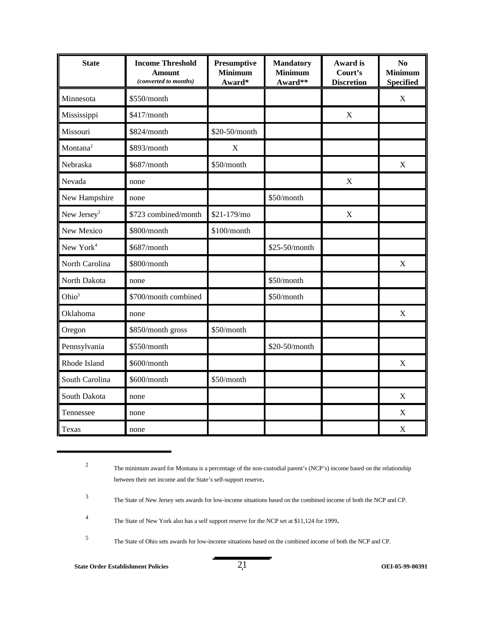| <b>State</b>            | <b>Income Threshold</b><br><b>Amount</b><br>(converted to months) | Presumptive<br><b>Minimum</b><br>Award* | <b>Mandatory</b><br><b>Minimum</b><br>Award** | Award is<br>Court's<br><b>Discretion</b> | N <sub>0</sub><br><b>Minimum</b><br><b>Specified</b> |
|-------------------------|-------------------------------------------------------------------|-----------------------------------------|-----------------------------------------------|------------------------------------------|------------------------------------------------------|
| Minnesota               | \$550/month                                                       |                                         |                                               |                                          | $\mathbf X$                                          |
| Mississippi             | \$417/month                                                       |                                         |                                               | $\mathbf X$                              |                                                      |
| Missouri                | \$824/month                                                       | \$20-50/month                           |                                               |                                          |                                                      |
| Montana <sup>2</sup>    | \$893/month                                                       | $\mathbf X$                             |                                               |                                          |                                                      |
| Nebraska                | \$687/month                                                       | \$50/month                              |                                               |                                          | X                                                    |
| Nevada                  | none                                                              |                                         |                                               | $\mathbf X$                              |                                                      |
| New Hampshire           | none                                                              |                                         | \$50/month                                    |                                          |                                                      |
| New Jersey <sup>3</sup> | \$723 combined/month                                              | \$21-179/mo                             |                                               | $\mathbf X$                              |                                                      |
| New Mexico              | \$800/month                                                       | \$100/month                             |                                               |                                          |                                                      |
| New York <sup>4</sup>   | \$687/month                                                       |                                         | \$25-50/month                                 |                                          |                                                      |
| North Carolina          | \$800/month                                                       |                                         |                                               |                                          | $\mathbf X$                                          |
| North Dakota            | none                                                              |                                         | \$50/month                                    |                                          |                                                      |
| Ohio <sup>5</sup>       | \$700/month combined                                              |                                         | \$50/month                                    |                                          |                                                      |
| Oklahoma                | none                                                              |                                         |                                               |                                          | X                                                    |
| Oregon                  | \$850/month gross                                                 | \$50/month                              |                                               |                                          |                                                      |
| Pennsylvania            | \$550/month                                                       |                                         | \$20-50/month                                 |                                          |                                                      |
| Rhode Island            | \$600/month                                                       |                                         |                                               |                                          | $\mathbf X$                                          |
| South Carolina          | \$600/month                                                       | \$50/month                              |                                               |                                          |                                                      |
| South Dakota            | none                                                              |                                         |                                               |                                          | $\mathbf X$                                          |
| Tennessee               | none                                                              |                                         |                                               |                                          | X                                                    |
| <b>Texas</b>            | none                                                              |                                         |                                               |                                          | X                                                    |

<sup>2</sup> The minimum award for Montana is a percentage of the non-custodial parent's (NCP's) income based on the relationship between their net income and the State's self-support reserve.

<sup>3</sup> The State of New Jersey sets awards for low-income situations based on the combined income of both the NCP and CP.

<sup>4</sup> The State of New York also has a self support reserve for the NCP set at \$11,124 for 1999.

<sup>5</sup> The State of Ohio sets awards for low-income situations based on the combined income of both the NCP and CP.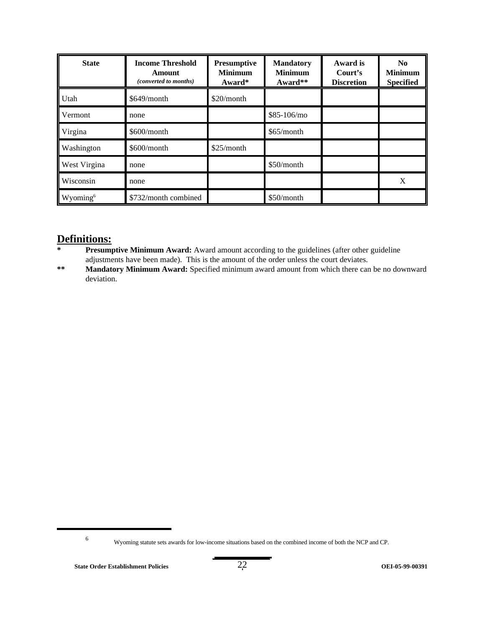| <b>State</b>         | <b>Income Threshold</b><br><b>Amount</b><br>(converted to months) | <b>Presumptive</b><br><b>Minimum</b><br>Award* | <b>Mandatory</b><br><b>Minimum</b><br>Award** | Award is<br>Court's<br><b>Discretion</b> | N <sub>0</sub><br><b>Minimum</b><br><b>Specified</b> |
|----------------------|-------------------------------------------------------------------|------------------------------------------------|-----------------------------------------------|------------------------------------------|------------------------------------------------------|
| Utah                 | \$649/month                                                       | \$20/month                                     |                                               |                                          |                                                      |
| Vermont              | none                                                              |                                                | \$85-106/mo                                   |                                          |                                                      |
| Virgina              | \$600/month                                                       |                                                | \$65/month                                    |                                          |                                                      |
| Washington           | \$600/month                                                       | \$25/month                                     |                                               |                                          |                                                      |
| <b>West Virgina</b>  | none                                                              |                                                | \$50/month                                    |                                          |                                                      |
| Wisconsin            | none                                                              |                                                |                                               |                                          | X                                                    |
| Wyoming <sup>6</sup> | \$732/month combined                                              |                                                | \$50/month                                    |                                          |                                                      |

# **Definitions:**

Presumptive Minimum Award: Award amount according to the guidelines (after other guideline adjustments have been made). This is the amount of the order unless the court deviates.

**\*\* Mandatory Minimum Award:** Specified minimum award amount from which there can be no downward deviation.

<sup>6</sup> Wyoming statute sets awards for low-income situations based on the combined income of both the NCP and CP.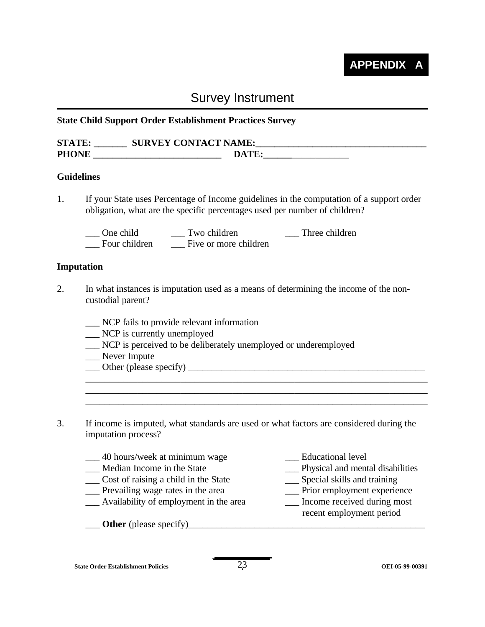

# Survey Instrument

### **State Child Support Order Establishment Practices Survey**

| <b>STATE:</b> | <b>SURVEY CONTACT NAME:</b> |
|---------------|-----------------------------|
| <b>PHONE</b>  | DATE                        |

### **Guidelines**

1. If your State uses Percentage of Income guidelines in the computation of a support order obligation, what are the specific percentages used per number of children?

| One child     | Two children          | Three children |
|---------------|-----------------------|----------------|
| Four children | Five or more children |                |

### **Imputation**

- 2. In what instances is imputation used as a means of determining the income of the noncustodial parent?
	- \_\_\_ NCP fails to provide relevant information
	- \_\_\_ NCP is currently unemployed
	- \_\_\_ NCP is perceived to be deliberately unemployed or underemployed
	- \_\_\_ Never Impute
	- \_\_\_ Other (please specify) \_\_\_\_\_\_\_\_\_\_\_\_\_\_\_\_\_\_\_\_\_\_\_\_\_\_\_\_\_\_\_\_\_\_\_\_\_\_\_\_\_\_\_\_\_\_\_\_\_\_
- 3. If income is imputed, what standards are used or what factors are considered during the imputation process?

\_\_\_\_\_\_\_\_\_\_\_\_\_\_\_\_\_\_\_\_\_\_\_\_\_\_\_\_\_\_\_\_\_\_\_\_\_\_\_\_\_\_\_\_\_\_\_\_\_\_\_\_\_\_\_\_\_\_\_\_\_\_\_\_\_\_\_\_\_\_\_\_ \_\_\_\_\_\_\_\_\_\_\_\_\_\_\_\_\_\_\_\_\_\_\_\_\_\_\_\_\_\_\_\_\_\_\_\_\_\_\_\_\_\_\_\_\_\_\_\_\_\_\_\_\_\_\_\_\_\_\_\_\_\_\_\_\_\_\_\_\_\_\_\_ \_\_\_\_\_\_\_\_\_\_\_\_\_\_\_\_\_\_\_\_\_\_\_\_\_\_\_\_\_\_\_\_\_\_\_\_\_\_\_\_\_\_\_\_\_\_\_\_\_\_\_\_\_\_\_\_\_\_\_\_\_\_\_\_\_\_\_\_\_\_\_\_

- \_\_\_ 40 hours/week at minimum wage \_\_\_ Educational level
- 
- \_\_\_ Cost of raising a child in the State \_\_\_ Special skills and training
- The Prevailing wage rates in the area Theorem Prior employment experience<br>
Availability of employment in the area Theorem Experience Countries and Theorem Prior employment experience
- $\frac{1}{\sqrt{2}}$  Availability of employment in the area
- **Other** (please specify)

- \_\_\_ Median Income in the State \_\_\_ Physical and mental disabilities
	-
	-
	- recent employment period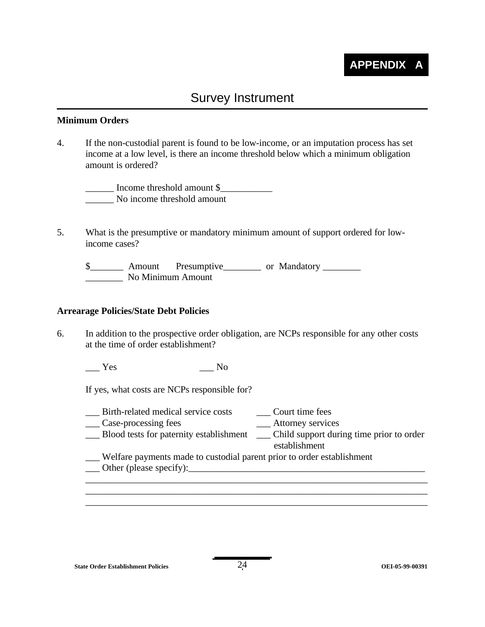# Survey Instrument

### **Minimum Orders**

4. If the non-custodial parent is found to be low-income, or an imputation process has set income at a low level, is there an income threshold below which a minimum obligation amount is ordered?

\_\_\_\_\_\_ Income threshold amount \$\_\_\_\_\_\_\_\_\_\_\_ No income threshold amount

5. What is the presumptive or mandatory minimum amount of support ordered for lowincome cases?

\$ Amount Presumptive or Mandatory \_\_\_\_\_\_\_\_ No Minimum Amount

### **Arrearage Policies/State Debt Policies**

- 6. In addition to the prospective order obligation, are NCPs responsible for any other costs at the time of order establishment?
	- Yes No

If yes, what costs are NCPs responsible for?

- 
- \_\_\_ Birth-related medical service costs \_\_\_\_\_ Court time fees \_\_\_\_\_ Case-processing fees \_\_\_\_\_\_\_ Attorney services  $\_\_\_\$ Case-processing fees
- \_\_\_ Blood tests for paternity establishment \_\_\_ Child support during time prior to order establishment

\_\_\_\_\_\_\_\_\_\_\_\_\_\_\_\_\_\_\_\_\_\_\_\_\_\_\_\_\_\_\_\_\_\_\_\_\_\_\_\_\_\_\_\_\_\_\_\_\_\_\_\_\_\_\_\_\_\_\_\_\_\_\_\_\_\_\_\_\_\_\_\_ \_\_\_\_\_\_\_\_\_\_\_\_\_\_\_\_\_\_\_\_\_\_\_\_\_\_\_\_\_\_\_\_\_\_\_\_\_\_\_\_\_\_\_\_\_\_\_\_\_\_\_\_\_\_\_\_\_\_\_\_\_\_\_\_\_\_\_\_\_\_\_\_ \_\_\_\_\_\_\_\_\_\_\_\_\_\_\_\_\_\_\_\_\_\_\_\_\_\_\_\_\_\_\_\_\_\_\_\_\_\_\_\_\_\_\_\_\_\_\_\_\_\_\_\_\_\_\_\_\_\_\_\_\_\_\_\_\_\_\_\_\_\_\_\_

- \_\_\_ Welfare payments made to custodial parent prior to order establishment
- \_\_\_ Other (please specify):\_\_\_\_\_\_\_\_\_\_\_\_\_\_\_\_\_\_\_\_\_\_\_\_\_\_\_\_\_\_\_\_\_\_\_\_\_\_\_\_\_\_\_\_\_\_\_\_\_\_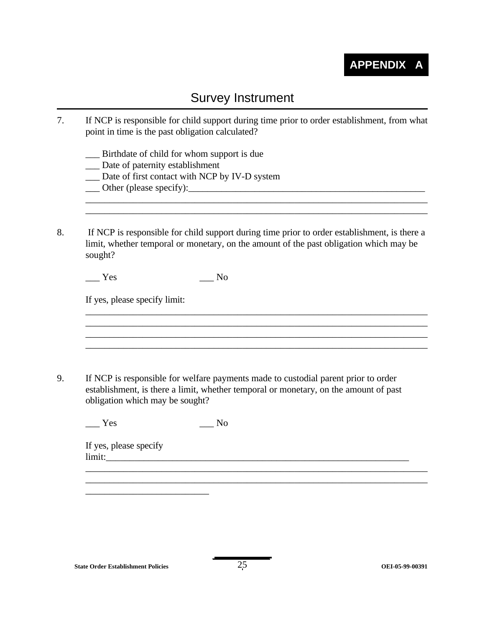

# Survey Instrument

- 7. If NCP is responsible for child support during time prior to order establishment, from what point in time is the past obligation calculated?
	- \_\_\_ Birthdate of child for whom support is due
	- \_\_\_ Date of paternity establishment
	- \_\_\_ Date of first contact with NCP by IV-D system
	- \_\_\_ Other (please specify):\_\_\_\_\_\_\_\_\_\_\_\_\_\_\_\_\_\_\_\_\_\_\_\_\_\_\_\_\_\_\_\_\_\_\_\_\_\_\_\_\_\_\_\_\_\_\_\_\_\_
- 8. If NCP is responsible for child support during time prior to order establishment, is there a limit, whether temporal or monetary, on the amount of the past obligation which may be sought?

\_\_\_\_\_\_\_\_\_\_\_\_\_\_\_\_\_\_\_\_\_\_\_\_\_\_\_\_\_\_\_\_\_\_\_\_\_\_\_\_\_\_\_\_\_\_\_\_\_\_\_\_\_\_\_\_\_\_\_\_\_\_\_\_\_\_\_\_\_\_\_\_

\_\_\_\_\_\_\_\_\_\_\_\_\_\_\_\_\_\_\_\_\_\_\_\_\_\_\_\_\_\_\_\_\_\_\_\_\_\_\_\_\_\_\_\_\_\_\_\_\_\_\_\_\_\_\_\_\_\_\_\_\_\_\_\_\_\_\_\_\_\_\_\_ \_\_\_\_\_\_\_\_\_\_\_\_\_\_\_\_\_\_\_\_\_\_\_\_\_\_\_\_\_\_\_\_\_\_\_\_\_\_\_\_\_\_\_\_\_\_\_\_\_\_\_\_\_\_\_\_\_\_\_\_\_\_\_\_\_\_\_\_\_\_\_\_ \_\_\_\_\_\_\_\_\_\_\_\_\_\_\_\_\_\_\_\_\_\_\_\_\_\_\_\_\_\_\_\_\_\_\_\_\_\_\_\_\_\_\_\_\_\_\_\_\_\_\_\_\_\_\_\_\_\_\_\_\_\_\_\_\_\_\_\_\_\_\_\_ \_\_\_\_\_\_\_\_\_\_\_\_\_\_\_\_\_\_\_\_\_\_\_\_\_\_\_\_\_\_\_\_\_\_\_\_\_\_\_\_\_\_\_\_\_\_\_\_\_\_\_\_\_\_\_\_\_\_\_\_\_\_\_\_\_\_\_\_\_\_\_\_

\_\_\_\_\_\_\_\_\_\_\_\_\_\_\_\_\_\_\_\_\_\_\_\_\_\_\_\_\_\_\_\_\_\_\_\_\_\_\_\_\_\_\_\_\_\_\_\_\_\_\_\_\_\_\_\_\_\_\_\_\_\_\_\_\_\_\_\_\_\_\_\_ \_\_\_\_\_\_\_\_\_\_\_\_\_\_\_\_\_\_\_\_\_\_\_\_\_\_\_\_\_\_\_\_\_\_\_\_\_\_\_\_\_\_\_\_\_\_\_\_\_\_\_\_\_\_\_\_\_\_\_\_\_\_\_\_\_\_\_\_\_\_\_\_

 $Yes$  No

If yes, please specify limit:

9. If NCP is responsible for welfare payments made to custodial parent prior to order establishment, is there a limit, whether temporal or monetary, on the amount of past obligation which may be sought?

 $\_\_$  Yes  $\_\_$  No

\_\_\_\_\_\_\_\_\_\_\_\_\_\_\_\_\_\_\_\_\_\_\_\_\_\_

If yes, please specify  $\lim$ it: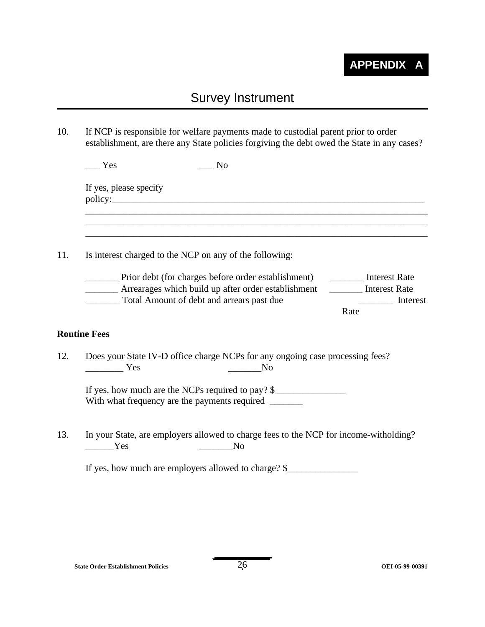10. If NCP is responsible for welfare payments made to custodial parent prior to order establishment, are there any State policies forgiving the debt owed the State in any cases?

|     | Yes<br>N <sub>0</sub>                                                                                                                                                                                                                                                                            |
|-----|--------------------------------------------------------------------------------------------------------------------------------------------------------------------------------------------------------------------------------------------------------------------------------------------------|
|     | If yes, please specify                                                                                                                                                                                                                                                                           |
| 11. | ,我们也不能在这里的时候,我们也不能在这里的时候,我们也不能会在这里的时候,我们也不能会在这里的时候,我们也不能会在这里的时候,我们也不能会在这里的时候,我们也<br>Is interest charged to the NCP on any of the following:                                                                                                                                                      |
|     | <u>Frior debt</u> (for charges before order establishment)<br>Interest Rate<br>Arrearages which build up after order establishment<br>Interest Rate<br>Total Amount of debt and arrears past due<br>Interest<br>$\frac{1}{2}$ and $\frac{1}{2}$ . The set of $\mathcal{O}(\mathbb{R}^d)$<br>Rate |
|     | <b>Routine Fees</b>                                                                                                                                                                                                                                                                              |
| 12. | Does your State IV-D office charge NCPs for any ongoing case processing fees?<br>Yes<br>No No                                                                                                                                                                                                    |
|     | If yes, how much are the NCPs required to pay? \$<br>With what frequency are the payments required ________                                                                                                                                                                                      |
| 13. | In your State, are employers allowed to charge fees to the NCP for income-witholding?<br>Yes<br>N <sub>0</sub>                                                                                                                                                                                   |

If yes, how much are employers allowed to charge? \$\_\_\_\_\_\_\_\_\_\_\_\_\_\_\_\_\_\_\_\_\_\_\_\_\_\_\_\_\_\_

**State Order Establishment Policies** 26 **OEI-05-99-00391**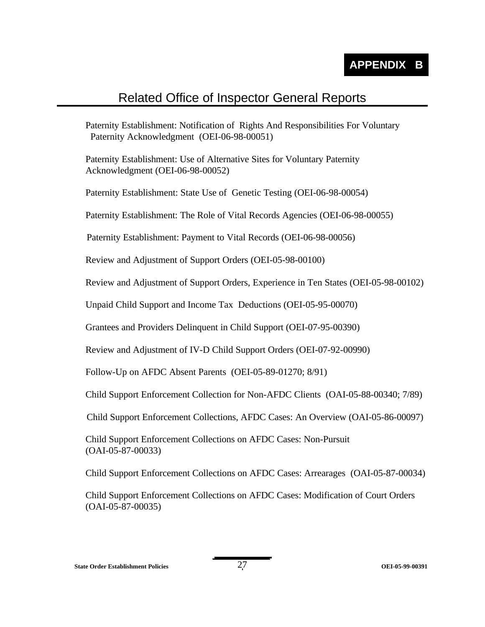# **APPENDIX B**

# Related Office of Inspector General Reports

Paternity Establishment: Notification of Rights And Responsibilities For Voluntary Paternity Acknowledgment (OEI-06-98-00051)

Paternity Establishment: Use of Alternative Sites for Voluntary Paternity Acknowledgment (OEI-06-98-00052)

Paternity Establishment: State Use of Genetic Testing (OEI-06-98-00054)

Paternity Establishment: The Role of Vital Records Agencies (OEI-06-98-00055)

Paternity Establishment: Payment to Vital Records (OEI-06-98-00056)

Review and Adjustment of Support Orders (OEI-05-98-00100)

Review and Adjustment of Support Orders, Experience in Ten States (OEI-05-98-00102)

Unpaid Child Support and Income Tax Deductions (OEI-05-95-00070)

Grantees and Providers Delinquent in Child Support (OEI-07-95-00390)

Review and Adjustment of IV-D Child Support Orders (OEI-07-92-00990)

Follow-Up on AFDC Absent Parents (OEI-05-89-01270; 8/91)

Child Support Enforcement Collection for Non-AFDC Clients (OAI-05-88-00340; 7/89)

Child Support Enforcement Collections, AFDC Cases: An Overview (OAI-05-86-00097)

Child Support Enforcement Collections on AFDC Cases: Non-Pursuit (OAI-05-87-00033)

Child Support Enforcement Collections on AFDC Cases: Arrearages (OAI-05-87-00034)

Child Support Enforcement Collections on AFDC Cases: Modification of Court Orders (OAI-05-87-00035)